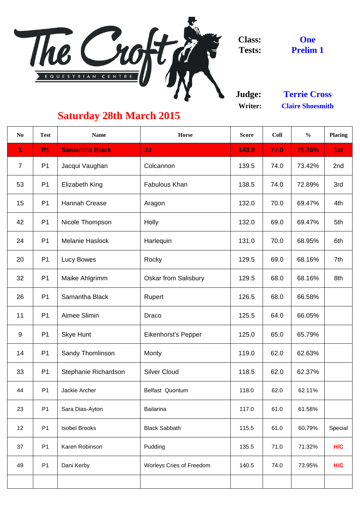

**Judge: Writer:**

| N <sub>0</sub> | <b>Test</b>    | <b>Name</b>             | <b>Horse</b>                    | <b>Score</b> | Coll | $\frac{0}{0}$ | <b>Placing</b> |
|----------------|----------------|-------------------------|---------------------------------|--------------|------|---------------|----------------|
| 1              | <b>P1</b>      | <b>Samantha Black</b>   | <b>JJ</b>                       | 143.0        | 77.0 | 75.26%        | 1st            |
| $\overline{7}$ | P <sub>1</sub> | Jacqui Vaughan          | Colcannon                       | 139.5        | 74.0 | 73.42%        | 2nd            |
| 53             | P <sub>1</sub> | <b>Elizabeth King</b>   | <b>Fabulous Khan</b>            | 138.5        | 74.0 | 72.89%        | 3rd            |
| 15             | P <sub>1</sub> | <b>Hannah Crease</b>    | Aragon                          | 132.0        | 70.0 | 69.47%        | 4th            |
| 42             | P <sub>1</sub> | Nicole Thompson         | Holly                           | 132.0        | 69.0 | 69.47%        | 5th            |
| 24             | P <sub>1</sub> | <b>Melanie Haslock</b>  | Harlequin                       | 131.0        | 70.0 | 68.95%        | 6th            |
| 20             | P <sub>1</sub> | Lucy Bowes              | Rocky                           | 129.5        | 69.0 | 68.16%        | 7th            |
| 32             | P <sub>1</sub> | Maike Ahlgrimm          | <b>Oskar from Salisbury</b>     | 129.5        | 68.0 | 68.16%        | 8th            |
| 26             | P <sub>1</sub> | Samantha Black          | <b>Rupert</b>                   | 126.5        | 68.0 | 66.58%        |                |
| 11             | P <sub>1</sub> | <b>Aimee Slimin</b>     | <b>Draco</b>                    | 125.5        | 64.0 | 66.05%        |                |
| 9              | P <sub>1</sub> | <b>Skye Hunt</b>        | <b>Eikenhorst's Pepper</b>      | 125.0        | 65.0 | 65.79%        |                |
| 14             | P <sub>1</sub> | <b>Sandy Thomlinson</b> | Monty                           | 119.0        | 62.0 | 62.63%        |                |
| 33             | P <sub>1</sub> | Stephanie Richardson    | <b>Silver Cloud</b>             | 118.5        | 62.0 | 62.37%        |                |
| 44             | P <sub>1</sub> | Jackie Archer           | <b>Belfast Quontum</b>          | 118.0        | 62.0 | 62.11%        |                |
| 23             | P <sub>1</sub> | Sara Dias-Ayton         | <b>Bailarina</b>                | 117.0        | 61.0 | 61.58%        |                |
| 12             | P <sub>1</sub> | <b>Isobel Brooks</b>    | <b>Black Sabbath</b>            | 115.5        | 61.0 | 60.79%        | Special        |
| 37             | P <sub>1</sub> | Karen Robinson          | Pudding                         | 135.5        | 71.0 | 71.32%        | H/C            |
| 49             | P <sub>1</sub> | Dani Kerby              | <b>Worleys Cries of Freedom</b> | 140.5        | 74.0 | 73.95%        | H/C            |
|                |                |                         |                                 |              |      |               |                |

**One Prelim 1**

## **Saturday 28th March 2015**

**Claire Shoesmith Terrie Cross**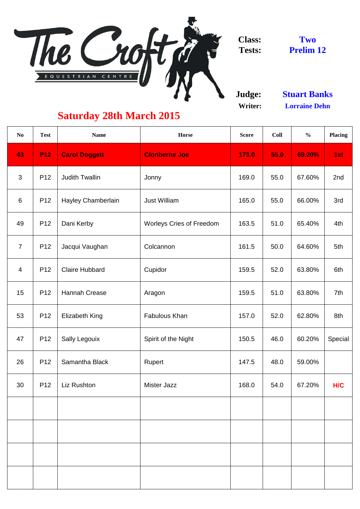

**Judge: Writer:**

| N <sub>0</sub> | <b>Test</b>     | <b>Name</b>               | Horse                           | <b>Score</b> | <b>Coll</b> | $\frac{0}{0}$ | <b>Placing</b> |
|----------------|-----------------|---------------------------|---------------------------------|--------------|-------------|---------------|----------------|
| 43             | <b>P12</b>      | <b>Carol Doggett</b>      | <b>Clonberne Joe</b>            | 173.0        | 55.0        | 69.20%        | 1st            |
| $\mathfrak{S}$ | P <sub>12</sub> | <b>Judith Twallin</b>     | Jonny                           | 169.0        | 55.0        | 67.60%        | 2nd            |
| $6\,$          | P <sub>12</sub> | <b>Hayley Chamberlain</b> | <b>Just William</b>             | 165.0        | 55.0        | 66.00%        | 3rd            |
| 49             | P <sub>12</sub> | Dani Kerby                | <b>Worleys Cries of Freedom</b> | 163.5        | 51.0        | 65.40%        | 4th            |
| $\overline{7}$ | P <sub>12</sub> | Jacqui Vaughan            | Colcannon                       | 161.5        | 50.0        | 64.60%        | 5th            |
| $\overline{4}$ | P <sub>12</sub> | <b>Claire Hubbard</b>     | Cupidor                         | 159.5        | 52.0        | 63.80%        | 6th            |
| 15             | P12             | <b>Hannah Crease</b>      | Aragon                          | 159.5        | 51.0        | 63.80%        | 7th            |
| 53             | P12             | Elizabeth King            | Fabulous Khan                   | 157.0        | 52.0        | 62.80%        | 8th            |
| 47             | P <sub>12</sub> | <b>Sally Legouix</b>      | Spirit of the Night             | 150.5        | 46.0        | 60.20%        | Special        |
| 26             | P <sub>12</sub> | Samantha Black            | Rupert                          | 147.5        | 48.0        | 59.00%        |                |
| 30             | P <sub>12</sub> | Liz Rushton               | <b>Mister Jazz</b>              | 168.0        | 54.0        | 67.20%        | H/C            |
|                |                 |                           |                                 |              |             |               |                |
|                |                 |                           |                                 |              |             |               |                |
|                |                 |                           |                                 |              |             |               |                |
|                |                 |                           |                                 |              |             |               |                |
|                |                 |                           |                                 |              |             |               |                |

**Stuart Banks Lorraine Dehn**

## **Saturday 28th March 2015**

**Two Prelim 12**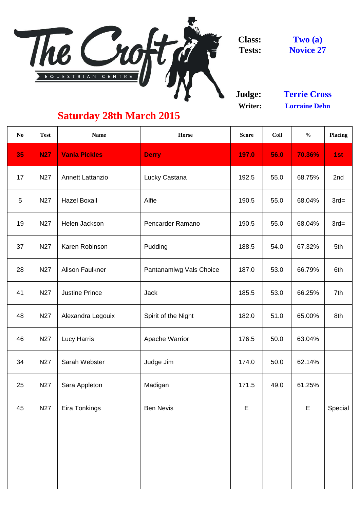

**Judge: Writer:**

| 56.0<br>55.0<br>55.0 | 70.36%<br>68.75% | 1st<br>2nd |
|----------------------|------------------|------------|
|                      |                  |            |
|                      |                  |            |
|                      | 68.04%           | $3rd=$     |
| 55.0                 | 68.04%           | $3rd=$     |
| 54.0                 | 67.32%           | 5th        |
| 53.0                 | 66.79%           | 6th        |
| 53.0                 | 66.25%           | 7th        |
| 51.0                 | 65.00%           | 8th        |
| 50.0                 | 63.04%           |            |
| 50.0                 | 62.14%           |            |
| 49.0                 | 61.25%           |            |
|                      | E                | Special    |
|                      |                  |            |
|                      |                  |            |
|                      |                  |            |
|                      |                  |            |

## **Saturday 28th March 2015**

**Novice 27 Two (a)**

**Lorraine Dehn Terrie Cross**